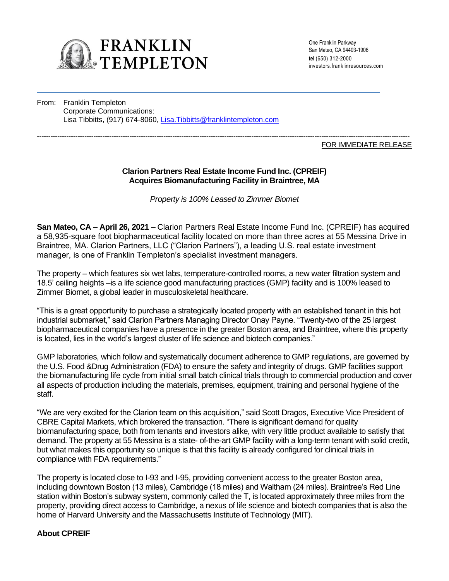

One Franklin Parkway San Mateo, CA 94403-1906 **tel** (650) 312-2000 investors.franklinresources.com

From: Franklin Templeton Corporate Communications: Lisa Tibbitts, (917) 674-8060, Lisa.Tibbitts@franklintempleton.com

#### --------------------------------------------------------------------------------------------------------------------------------------------------------------------- FOR IMMEDIATE RELEASE

# **Clarion Partners Real Estate Income Fund Inc. (CPREIF) Acquires Biomanufacturing Facility in Braintree, MA**

*Property is 100% Leased to Zimmer Biomet*

**San Mateo, CA – April 26, 2021** – Clarion Partners Real Estate Income Fund Inc. (CPREIF) has acquired a 58,935-square foot biopharmaceutical facility located on more than three acres at 55 Messina Drive in Braintree, MA. Clarion Partners, LLC ("Clarion Partners"), a leading U.S. real estate investment manager, is one of Franklin Templeton's specialist investment managers.

The property – which features six wet labs, temperature-controlled rooms, a new water filtration system and 18.5' ceiling heights –is a life science good manufacturing practices (GMP) facility and is 100% leased to Zimmer Biomet, a global leader in musculoskeletal healthcare.

"This is a great opportunity to purchase a strategically located property with an established tenant in this hot industrial submarket," said Clarion Partners Managing Director Onay Payne. "Twenty-two of the 25 largest biopharmaceutical companies have a presence in the greater Boston area, and Braintree, where this property is located, lies in the world's largest cluster of life science and biotech companies."

GMP laboratories, which follow and systematically document adherence to GMP regulations, are governed by the U.S. Food &Drug Administration (FDA) to ensure the safety and integrity of drugs. GMP facilities support the biomanufacturing life cycle from initial small batch clinical trials through to commercial production and cover all aspects of production including the materials, premises, equipment, training and personal hygiene of the staff.

"We are very excited for the Clarion team on this acquisition," said Scott Dragos, Executive Vice President of CBRE Capital Markets, which brokered the transaction. "There is significant demand for quality biomanufacturing space, both from tenants and investors alike, with very little product available to satisfy that demand. The property at 55 Messina is a state- of-the-art GMP facility with a long-term tenant with solid credit, but what makes this opportunity so unique is that this facility is already configured for clinical trials in compliance with FDA requirements."

The property is located close to I-93 and I-95, providing convenient access to the greater Boston area, including downtown Boston (13 miles), Cambridge (18 miles) and Waltham (24 miles). Braintree's Red Line station within Boston's subway system, commonly called the T, is located approximately three miles from the property, providing direct access to Cambridge, a nexus of life science and biotech companies that is also the home of Harvard University and the Massachusetts Institute of Technology (MIT).

# **About CPREIF**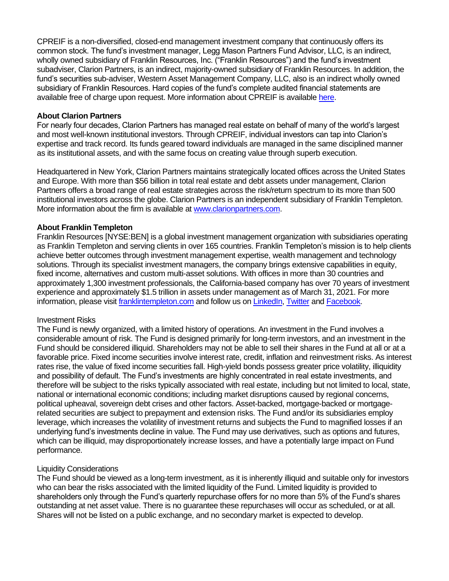CPREIF is a non-diversified, closed-end management investment company that continuously offers its common stock. The fund's investment manager, Legg Mason Partners Fund Advisor, LLC, is an indirect, wholly owned subsidiary of Franklin Resources, Inc. ("Franklin Resources") and the fund's investment subadviser, Clarion Partners, is an indirect, majority-owned subsidiary of Franklin Resources. In addition, the fund's securities sub-adviser, Western Asset Management Company, LLC, also is an indirect wholly owned subsidiary of Franklin Resources. Hard copies of the fund's complete audited financial statements are available free of charge upon request. More information about CPREIF is availabl[e here.](https://www.cpreif.com/)

## **About Clarion Partners**

For nearly four decades, Clarion Partners has managed real estate on behalf of many of the world's largest and most well-known institutional investors. Through CPREIF, individual investors can tap into Clarion's expertise and track record. Its funds geared toward individuals are managed in the same disciplined manner as its institutional assets, and with the same focus on creating value through superb execution.

Headquartered in New York, Clarion Partners maintains strategically located offices across the United States and Europe. With more than \$56 billion in total real estate and debt assets under management, Clarion Partners offers a broad range of real estate strategies across the risk/return spectrum to its more than 500 institutional investors across the globe. Clarion Partners is an independent subsidiary of Franklin Templeton. More information about the firm is available at [www.clarionpartners.com.](http://www.clarionpartners.com/)

# **About Franklin Templeton**

Franklin Resources [NYSE:BEN] is a global investment management organization with subsidiaries operating as Franklin Templeton and serving clients in over 165 countries. Franklin Templeton's mission is to help clients achieve better outcomes through investment management expertise, wealth management and technology solutions. Through its specialist investment managers, the company brings extensive capabilities in equity, fixed income, alternatives and custom multi-asset solutions. With offices in more than 30 countries and approximately 1,300 investment professionals, the California-based company has over 70 years of investment experience and approximately \$1.5 trillion in assets under management as of March 31, 2021. For more information, please visit franklintempleton.com and follow us o[n LinkedIn,](https://www.linkedin.com/company/franklin-templeton/mycompany/verification/) [Twitter](https://twitter.com/FTI_US) and [Facebook.](https://www.facebook.com/franklintempleton/)

#### Investment Risks

The Fund is newly organized, with a limited history of operations. An investment in the Fund involves a considerable amount of risk. The Fund is designed primarily for long-term investors, and an investment in the Fund should be considered illiquid. Shareholders may not be able to sell their shares in the Fund at all or at a favorable price. Fixed income securities involve interest rate, credit, inflation and reinvestment risks. As interest rates rise, the value of fixed income securities fall. High-yield bonds possess greater price volatility, illiquidity and possibility of default. The Fund's investments are highly concentrated in real estate investments, and therefore will be subject to the risks typically associated with real estate, including but not limited to local, state, national or international economic conditions; including market disruptions caused by regional concerns, political upheaval, sovereign debt crises and other factors. Asset-backed, mortgage-backed or mortgagerelated securities are subject to prepayment and extension risks. The Fund and/or its subsidiaries employ leverage, which increases the volatility of investment returns and subjects the Fund to magnified losses if an underlying fund's investments decline in value. The Fund may use derivatives, such as options and futures, which can be illiquid, may disproportionately increase losses, and have a potentially large impact on Fund performance.

#### Liquidity Considerations

The Fund should be viewed as a long-term investment, as it is inherently illiquid and suitable only for investors who can bear the risks associated with the limited liquidity of the Fund. Limited liquidity is provided to shareholders only through the Fund's quarterly repurchase offers for no more than 5% of the Fund's shares outstanding at net asset value. There is no guarantee these repurchases will occur as scheduled, or at all. Shares will not be listed on a public exchange, and no secondary market is expected to develop.